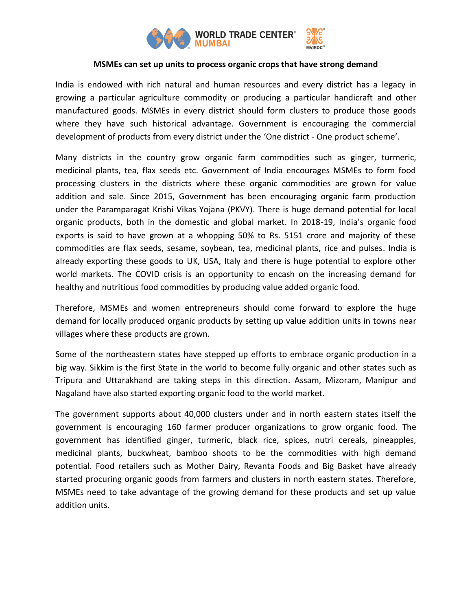

## **MSMEs can set up units to process organic crops that have strong demand**

India is endowed with rich natural and human resources and every district has a legacy in growing a particular agriculture commodity or producing a particular handicraft and other manufactured goods. MSMEs in every district should form clusters to produce those goods where they have such historical advantage. Government is encouraging the commercial development of products from every district under the 'One district - One product scheme'.

Many districts in the country grow organic farm commodities such as ginger, turmeric, medicinal plants, tea, flax seeds etc. Government of India encourages MSMEs to form food processing clusters in the districts where these organic commodities are grown for value addition and sale. Since 2015, Government has been encouraging organic farm production under the Paramparagat Krishi Vikas Yojana (PKVY). There is huge demand potential for local organic products, both in the domestic and global market. In 2018-19, India's organic food exports is said to have grown at a whopping 50% to Rs. 5151 crore and majority of these commodities are flax seeds, sesame, soybean, tea, medicinal plants, rice and pulses. India is already exporting these goods to UK, USA, Italy and there is huge potential to explore other world markets. The COVID crisis is an opportunity to encash on the increasing demand for healthy and nutritious food commodities by producing value added organic food.

Therefore, MSMEs and women entrepreneurs should come forward to explore the huge demand for locally produced organic products by setting up value addition units in towns near villages where these products are grown.

Some of the northeastern states have stepped up efforts to embrace organic production in a big way. Sikkim is the first State in the world to become fully organic and other states such as Tripura and Uttarakhand are taking steps in this direction. Assam, Mizoram, Manipur and Nagaland have also started exporting organic food to the world market.

The government supports about 40,000 clusters under and in north eastern states itself the government is encouraging 160 farmer producer organizations to grow organic food. The government has identified ginger, turmeric, black rice, spices, nutri cereals, pineapples, medicinal plants, buckwheat, bamboo shoots to be the commodities with high demand potential. Food retailers such as Mother Dairy, Revanta Foods and Big Basket have already started procuring organic goods from farmers and clusters in north eastern states. Therefore, MSMEs need to take advantage of the growing demand for these products and set up value addition units.